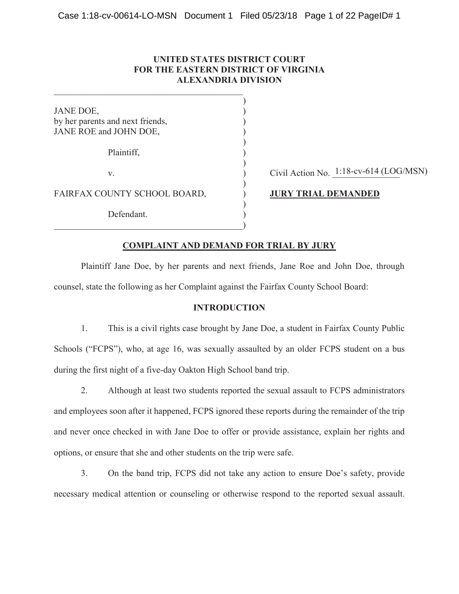# **UNITED STATES DISTRICT COURT FOR THE EASTERN DISTRICT OF VIRGINIA ALEXANDRIA DIVISION**

 $\mathcal{L}$ 

 $\mathcal{L}$ 

 $\mathcal{L}$ 

 $\overline{)}$ 

 $\mathcal{L}$ 

JANE DOE, by her parents and next friends, ) JANE ROE and JOHN DOE,

Plaintiff, )

FAIRFAX COUNTY SCHOOL BOARD,  $J \cup R$ **Y TRIAL DEMANDED** 

Defendant.

 $\qquad \qquad )$ 

v.  $\overrightarrow{O}$  Civil Action No.  $1:18$ -cv-614 (LOG/MSN)

# **COMPLAINT AND DEMAND FOR TRIAL BY JURY**

Plaintiff Jane Doe, by her parents and next friends, Jane Roe and John Doe, through counsel, state the following as her Complaint against the Fairfax County School Board:

# **INTRODUCTION**

1. This is a civil rights case brought by Jane Doe, a student in Fairfax County Public Schools ("FCPS"), who, at age 16, was sexually assaulted by an older FCPS student on a bus during the first night of a five-day Oakton High School band trip.

2. Although at least two students reported the sexual assault to FCPS administrators and employees soon after it happened, FCPS ignored these reports during the remainder of the trip and never once checked in with Jane Doe to offer or provide assistance, explain her rights and options, or ensure that she and other students on the trip were safe.

3. On the band trip, FCPS did not take any action to ensure Doe's safety, provide necessary medical attention or counseling or otherwise respond to the reported sexual assault.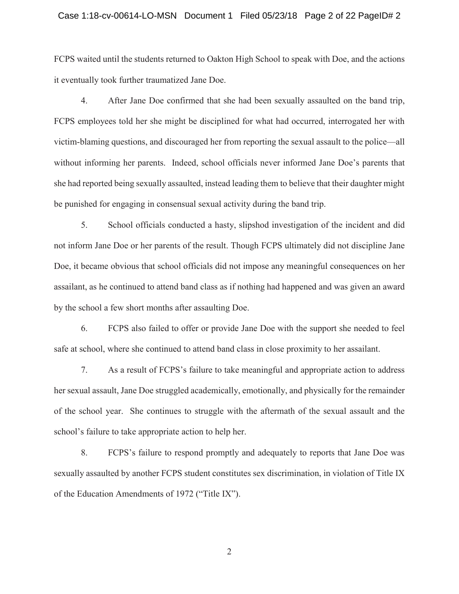#### Case 1:18-cv-00614-LO-MSN Document 1 Filed 05/23/18 Page 2 of 22 PageID# 2

FCPS waited until the students returned to Oakton High School to speak with Doe, and the actions it eventually took further traumatized Jane Doe.

4. After Jane Doe confirmed that she had been sexually assaulted on the band trip, FCPS employees told her she might be disciplined for what had occurred, interrogated her with victim-blaming questions, and discouraged her from reporting the sexual assault to the police—all without informing her parents. Indeed, school officials never informed Jane Doe's parents that she had reported being sexually assaulted, instead leading them to believe that their daughter might be punished for engaging in consensual sexual activity during the band trip.

5. School officials conducted a hasty, slipshod investigation of the incident and did not inform Jane Doe or her parents of the result. Though FCPS ultimately did not discipline Jane Doe, it became obvious that school officials did not impose any meaningful consequences on her assailant, as he continued to attend band class as if nothing had happened and was given an award by the school a few short months after assaulting Doe.

6. FCPS also failed to offer or provide Jane Doe with the support she needed to feel safe at school, where she continued to attend band class in close proximity to her assailant.

7. As a result of FCPS's failure to take meaningful and appropriate action to address her sexual assault, Jane Doe struggled academically, emotionally, and physically for the remainder of the school year. She continues to struggle with the aftermath of the sexual assault and the school's failure to take appropriate action to help her.

8. FCPS's failure to respond promptly and adequately to reports that Jane Doe was sexually assaulted by another FCPS student constitutes sex discrimination, in violation of Title IX of the Education Amendments of 1972 ("Title IX").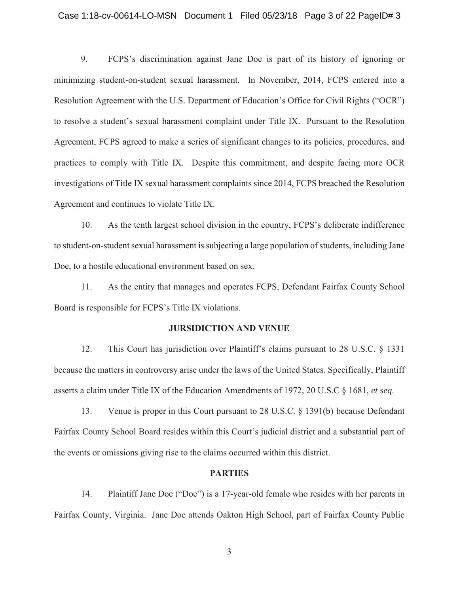#### Case 1:18-cv-00614-LO-MSN Document 1 Filed 05/23/18 Page 3 of 22 PageID# 3

9. FCPS's discrimination against Jane Doe is part of its history of ignoring or minimizing student-on-student sexual harassment. In November, 2014, FCPS entered into a Resolution Agreement with the U.S. Department of Education's Office for Civil Rights ("OCR") to resolve a student's sexual harassment complaint under Title IX. Pursuant to the Resolution Agreement, FCPS agreed to make a series of significant changes to its policies, procedures, and practices to comply with Title IX. Despite this commitment, and despite facing more OCR investigations of Title IX sexual harassment complaints since 2014, FCPS breached the Resolution Agreement and continues to violate Title IX.

10. As the tenth largest school division in the country, FCPS's deliberate indifference to student-on-student sexual harassment is subjecting a large population of students, including Jane Doe, to a hostile educational environment based on sex.

11. As the entity that manages and operates FCPS, Defendant Fairfax County School Board is responsible for FCPS's Title IX violations.

#### **JURSIDICTION AND VENUE**

12. This Court has jurisdiction over Plaintiff's claims pursuant to 28 U.S.C. § 1331 because the matters in controversy arise under the laws of the United States. Specifically, Plaintiff asserts a claim under Title IX of the Education Amendments of 1972, 20 U.S.C § 1681, *et seq*.

13. Venue is proper in this Court pursuant to 28 U.S.C. § 1391(b) because Defendant Fairfax County School Board resides within this Court's judicial district and a substantial part of the events or omissions giving rise to the claims occurred within this district.

#### **PARTIES**

14. Plaintiff Jane Doe ("Doe") is a 17-year-old female who resides with her parents in Fairfax County, Virginia. Jane Doe attends Oakton High School, part of Fairfax County Public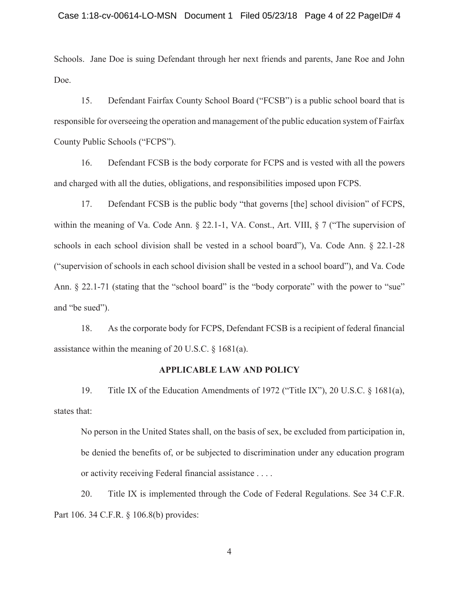Schools. Jane Doe is suing Defendant through her next friends and parents, Jane Roe and John Doe.

15. Defendant Fairfax County School Board ("FCSB") is a public school board that is responsible for overseeing the operation and management of the public education system of Fairfax County Public Schools ("FCPS").

16. Defendant FCSB is the body corporate for FCPS and is vested with all the powers and charged with all the duties, obligations, and responsibilities imposed upon FCPS.

17. Defendant FCSB is the public body "that governs [the] school division" of FCPS, within the meaning of Va. Code Ann. § 22.1-1, VA. Const., Art. VIII, § 7 ("The supervision of schools in each school division shall be vested in a school board"), Va. Code Ann. § 22.1-28 ("supervision of schools in each school division shall be vested in a school board"), and Va. Code Ann. § 22.1-71 (stating that the "school board" is the "body corporate" with the power to "sue" and "be sued").

18. As the corporate body for FCPS, Defendant FCSB is a recipient of federal financial assistance within the meaning of 20 U.S.C. § 1681(a).

#### **APPLICABLE LAW AND POLICY**

19. Title IX of the Education Amendments of 1972 ("Title IX"), 20 U.S.C. § 1681(a), states that:

No person in the United States shall, on the basis of sex, be excluded from participation in, be denied the benefits of, or be subjected to discrimination under any education program or activity receiving Federal financial assistance . . . .

20. Title IX is implemented through the Code of Federal Regulations. See 34 C.F.R. Part 106. 34 C.F.R. § 106.8(b) provides: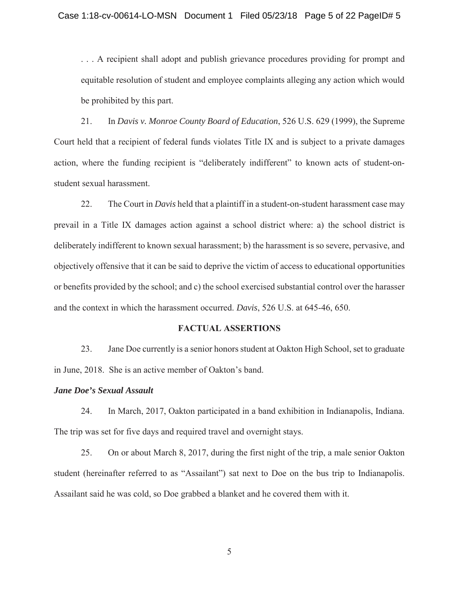. . . A recipient shall adopt and publish grievance procedures providing for prompt and equitable resolution of student and employee complaints alleging any action which would be prohibited by this part.

21. In *Davis v. Monroe County Board of Education*, 526 U.S. 629 (1999), the Supreme Court held that a recipient of federal funds violates Title IX and is subject to a private damages action, where the funding recipient is "deliberately indifferent" to known acts of student-onstudent sexual harassment.

22. The Court in *Davis* held that a plaintiff in a student-on-student harassment case may prevail in a Title IX damages action against a school district where: a) the school district is deliberately indifferent to known sexual harassment; b) the harassment is so severe, pervasive, and objectively offensive that it can be said to deprive the victim of access to educational opportunities or benefits provided by the school; and c) the school exercised substantial control over the harasser and the context in which the harassment occurred. *Davis*, 526 U.S. at 645-46, 650.

### **FACTUAL ASSERTIONS**

23. Jane Doe currently is a senior honors student at Oakton High School, set to graduate in June, 2018. She is an active member of Oakton's band.

#### *Jane Doe's Sexual Assault*

24. In March, 2017, Oakton participated in a band exhibition in Indianapolis, Indiana. The trip was set for five days and required travel and overnight stays.

25. On or about March 8, 2017, during the first night of the trip, a male senior Oakton student (hereinafter referred to as "Assailant") sat next to Doe on the bus trip to Indianapolis. Assailant said he was cold, so Doe grabbed a blanket and he covered them with it.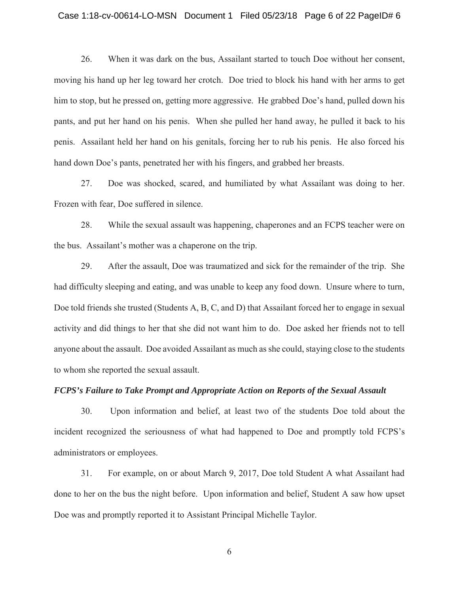#### Case 1:18-cv-00614-LO-MSN Document 1 Filed 05/23/18 Page 6 of 22 PageID# 6

26. When it was dark on the bus, Assailant started to touch Doe without her consent, moving his hand up her leg toward her crotch. Doe tried to block his hand with her arms to get him to stop, but he pressed on, getting more aggressive. He grabbed Doe's hand, pulled down his pants, and put her hand on his penis. When she pulled her hand away, he pulled it back to his penis. Assailant held her hand on his genitals, forcing her to rub his penis. He also forced his hand down Doe's pants, penetrated her with his fingers, and grabbed her breasts.

27. Doe was shocked, scared, and humiliated by what Assailant was doing to her. Frozen with fear, Doe suffered in silence.

28. While the sexual assault was happening, chaperones and an FCPS teacher were on the bus. Assailant's mother was a chaperone on the trip.

29. After the assault, Doe was traumatized and sick for the remainder of the trip. She had difficulty sleeping and eating, and was unable to keep any food down. Unsure where to turn, Doe told friends she trusted (Students A, B, C, and D) that Assailant forced her to engage in sexual activity and did things to her that she did not want him to do. Doe asked her friends not to tell anyone about the assault. Doe avoided Assailant as much as she could, staying close to the students to whom she reported the sexual assault.

### *FCPS's Failure to Take Prompt and Appropriate Action on Reports of the Sexual Assault*

30. Upon information and belief, at least two of the students Doe told about the incident recognized the seriousness of what had happened to Doe and promptly told FCPS's administrators or employees.

31. For example, on or about March 9, 2017, Doe told Student A what Assailant had done to her on the bus the night before. Upon information and belief, Student A saw how upset Doe was and promptly reported it to Assistant Principal Michelle Taylor.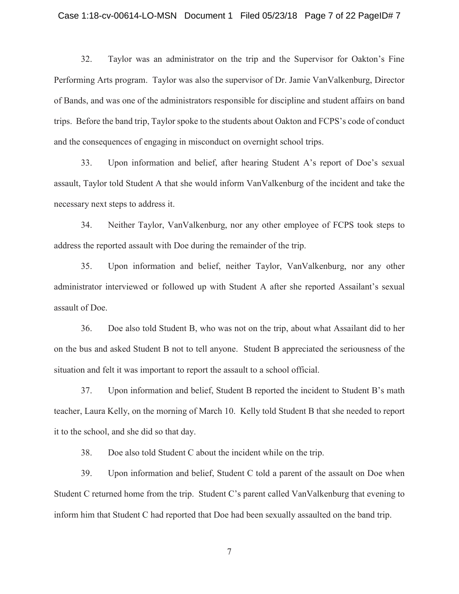#### Case 1:18-cv-00614-LO-MSN Document 1 Filed 05/23/18 Page 7 of 22 PageID# 7

32. Taylor was an administrator on the trip and the Supervisor for Oakton's Fine Performing Arts program. Taylor was also the supervisor of Dr. Jamie VanValkenburg, Director of Bands, and was one of the administrators responsible for discipline and student affairs on band trips. Before the band trip, Taylor spoke to the students about Oakton and FCPS's code of conduct and the consequences of engaging in misconduct on overnight school trips.

33. Upon information and belief, after hearing Student A's report of Doe's sexual assault, Taylor told Student A that she would inform VanValkenburg of the incident and take the necessary next steps to address it.

34. Neither Taylor, VanValkenburg, nor any other employee of FCPS took steps to address the reported assault with Doe during the remainder of the trip.

35. Upon information and belief, neither Taylor, VanValkenburg, nor any other administrator interviewed or followed up with Student A after she reported Assailant's sexual assault of Doe.

36. Doe also told Student B, who was not on the trip, about what Assailant did to her on the bus and asked Student B not to tell anyone. Student B appreciated the seriousness of the situation and felt it was important to report the assault to a school official.

37. Upon information and belief, Student B reported the incident to Student B's math teacher, Laura Kelly, on the morning of March 10. Kelly told Student B that she needed to report it to the school, and she did so that day.

38. Doe also told Student C about the incident while on the trip.

39. Upon information and belief, Student C told a parent of the assault on Doe when Student C returned home from the trip. Student C's parent called VanValkenburg that evening to inform him that Student C had reported that Doe had been sexually assaulted on the band trip.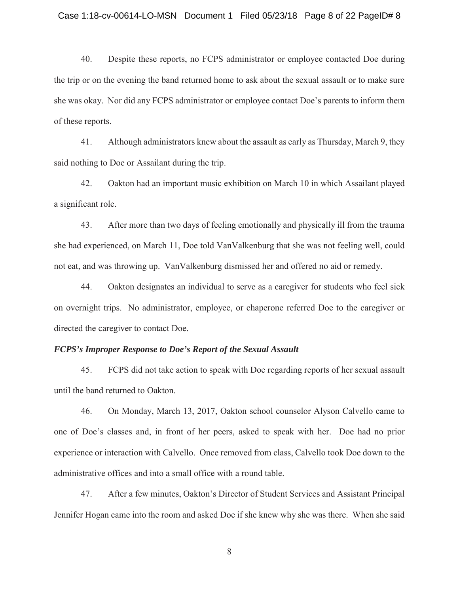#### Case 1:18-cv-00614-LO-MSN Document 1 Filed 05/23/18 Page 8 of 22 PageID# 8

40. Despite these reports, no FCPS administrator or employee contacted Doe during the trip or on the evening the band returned home to ask about the sexual assault or to make sure she was okay. Nor did any FCPS administrator or employee contact Doe's parents to inform them of these reports.

41. Although administrators knew about the assault as early as Thursday, March 9, they said nothing to Doe or Assailant during the trip.

42. Oakton had an important music exhibition on March 10 in which Assailant played a significant role.

43. After more than two days of feeling emotionally and physically ill from the trauma she had experienced, on March 11, Doe told VanValkenburg that she was not feeling well, could not eat, and was throwing up. VanValkenburg dismissed her and offered no aid or remedy.

44. Oakton designates an individual to serve as a caregiver for students who feel sick on overnight trips. No administrator, employee, or chaperone referred Doe to the caregiver or directed the caregiver to contact Doe.

#### *FCPS's Improper Response to Doe's Report of the Sexual Assault*

45. FCPS did not take action to speak with Doe regarding reports of her sexual assault until the band returned to Oakton.

46. On Monday, March 13, 2017, Oakton school counselor Alyson Calvello came to one of Doe's classes and, in front of her peers, asked to speak with her. Doe had no prior experience or interaction with Calvello. Once removed from class, Calvello took Doe down to the administrative offices and into a small office with a round table.

47. After a few minutes, Oakton's Director of Student Services and Assistant Principal Jennifer Hogan came into the room and asked Doe if she knew why she was there. When she said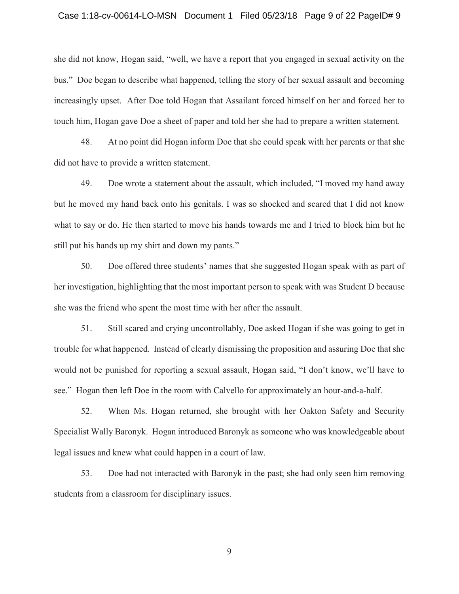#### Case 1:18-cv-00614-LO-MSN Document 1 Filed 05/23/18 Page 9 of 22 PageID# 9

she did not know, Hogan said, "well, we have a report that you engaged in sexual activity on the bus." Doe began to describe what happened, telling the story of her sexual assault and becoming increasingly upset. After Doe told Hogan that Assailant forced himself on her and forced her to touch him, Hogan gave Doe a sheet of paper and told her she had to prepare a written statement.

48. At no point did Hogan inform Doe that she could speak with her parents or that she did not have to provide a written statement.

49. Doe wrote a statement about the assault, which included, "I moved my hand away but he moved my hand back onto his genitals. I was so shocked and scared that I did not know what to say or do. He then started to move his hands towards me and I tried to block him but he still put his hands up my shirt and down my pants."

50. Doe offered three students' names that she suggested Hogan speak with as part of her investigation, highlighting that the most important person to speak with was Student D because she was the friend who spent the most time with her after the assault.

51. Still scared and crying uncontrollably, Doe asked Hogan if she was going to get in trouble for what happened. Instead of clearly dismissing the proposition and assuring Doe that she would not be punished for reporting a sexual assault, Hogan said, "I don't know, we'll have to see." Hogan then left Doe in the room with Calvello for approximately an hour-and-a-half.

52. When Ms. Hogan returned, she brought with her Oakton Safety and Security Specialist Wally Baronyk. Hogan introduced Baronyk as someone who was knowledgeable about legal issues and knew what could happen in a court of law.

53. Doe had not interacted with Baronyk in the past; she had only seen him removing students from a classroom for disciplinary issues.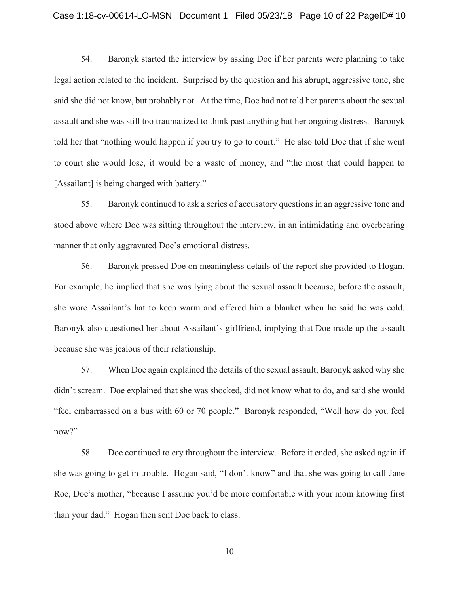#### Case 1:18-cv-00614-LO-MSN Document 1 Filed 05/23/18 Page 10 of 22 PageID# 10

54. Baronyk started the interview by asking Doe if her parents were planning to take legal action related to the incident. Surprised by the question and his abrupt, aggressive tone, she said she did not know, but probably not. At the time, Doe had not told her parents about the sexual assault and she was still too traumatized to think past anything but her ongoing distress. Baronyk told her that "nothing would happen if you try to go to court." He also told Doe that if she went to court she would lose, it would be a waste of money, and "the most that could happen to [Assailant] is being charged with battery."

55. Baronyk continued to ask a series of accusatory questions in an aggressive tone and stood above where Doe was sitting throughout the interview, in an intimidating and overbearing manner that only aggravated Doe's emotional distress.

56. Baronyk pressed Doe on meaningless details of the report she provided to Hogan. For example, he implied that she was lying about the sexual assault because, before the assault, she wore Assailant's hat to keep warm and offered him a blanket when he said he was cold. Baronyk also questioned her about Assailant's girlfriend, implying that Doe made up the assault because she was jealous of their relationship.

57. When Doe again explained the details of the sexual assault, Baronyk asked why she didn't scream. Doe explained that she was shocked, did not know what to do, and said she would "feel embarrassed on a bus with 60 or 70 people." Baronyk responded, "Well how do you feel now?"

58. Doe continued to cry throughout the interview. Before it ended, she asked again if she was going to get in trouble. Hogan said, "I don't know" and that she was going to call Jane Roe, Doe's mother, "because I assume you'd be more comfortable with your mom knowing first than your dad." Hogan then sent Doe back to class.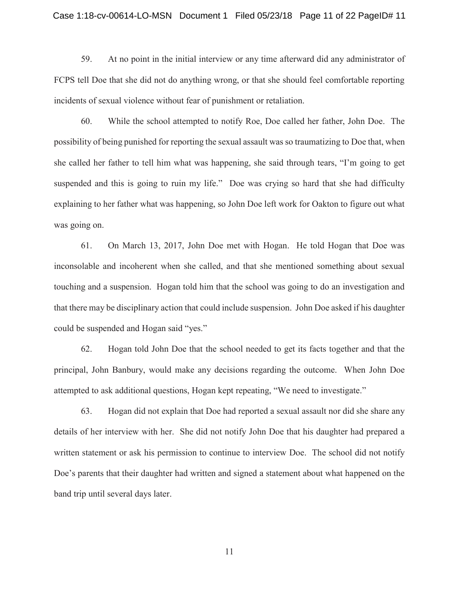#### Case 1:18-cv-00614-LO-MSN Document 1 Filed 05/23/18 Page 11 of 22 PageID# 11

59. At no point in the initial interview or any time afterward did any administrator of FCPS tell Doe that she did not do anything wrong, or that she should feel comfortable reporting incidents of sexual violence without fear of punishment or retaliation.

60. While the school attempted to notify Roe, Doe called her father, John Doe. The possibility of being punished for reporting the sexual assault was so traumatizing to Doe that, when she called her father to tell him what was happening, she said through tears, "I'm going to get suspended and this is going to ruin my life." Doe was crying so hard that she had difficulty explaining to her father what was happening, so John Doe left work for Oakton to figure out what was going on.

61. On March 13, 2017, John Doe met with Hogan. He told Hogan that Doe was inconsolable and incoherent when she called, and that she mentioned something about sexual touching and a suspension. Hogan told him that the school was going to do an investigation and that there may be disciplinary action that could include suspension. John Doe asked if his daughter could be suspended and Hogan said "yes."

62. Hogan told John Doe that the school needed to get its facts together and that the principal, John Banbury, would make any decisions regarding the outcome. When John Doe attempted to ask additional questions, Hogan kept repeating, "We need to investigate."

63. Hogan did not explain that Doe had reported a sexual assault nor did she share any details of her interview with her. She did not notify John Doe that his daughter had prepared a written statement or ask his permission to continue to interview Doe. The school did not notify Doe's parents that their daughter had written and signed a statement about what happened on the band trip until several days later.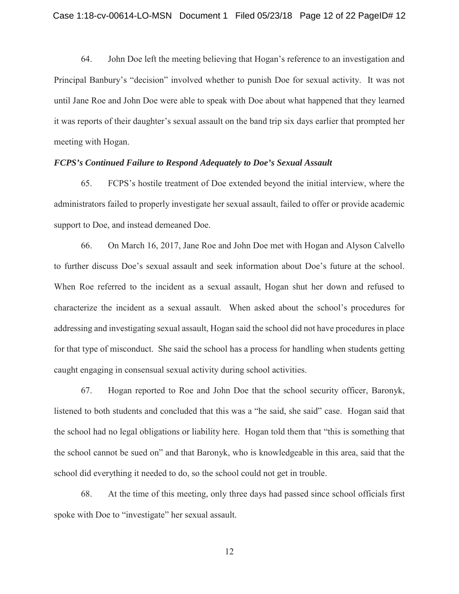64. John Doe left the meeting believing that Hogan's reference to an investigation and Principal Banbury's "decision" involved whether to punish Doe for sexual activity. It was not until Jane Roe and John Doe were able to speak with Doe about what happened that they learned it was reports of their daughter's sexual assault on the band trip six days earlier that prompted her meeting with Hogan.

# *FCPS's Continued Failure to Respond Adequately to Doe's Sexual Assault*

65. FCPS's hostile treatment of Doe extended beyond the initial interview, where the administrators failed to properly investigate her sexual assault, failed to offer or provide academic support to Doe, and instead demeaned Doe.

66. On March 16, 2017, Jane Roe and John Doe met with Hogan and Alyson Calvello to further discuss Doe's sexual assault and seek information about Doe's future at the school. When Roe referred to the incident as a sexual assault, Hogan shut her down and refused to characterize the incident as a sexual assault. When asked about the school's procedures for addressing and investigating sexual assault, Hogan said the school did not have procedures in place for that type of misconduct. She said the school has a process for handling when students getting caught engaging in consensual sexual activity during school activities.

67. Hogan reported to Roe and John Doe that the school security officer, Baronyk, listened to both students and concluded that this was a "he said, she said" case. Hogan said that the school had no legal obligations or liability here. Hogan told them that "this is something that the school cannot be sued on" and that Baronyk, who is knowledgeable in this area, said that the school did everything it needed to do, so the school could not get in trouble.

68. At the time of this meeting, only three days had passed since school officials first spoke with Doe to "investigate" her sexual assault.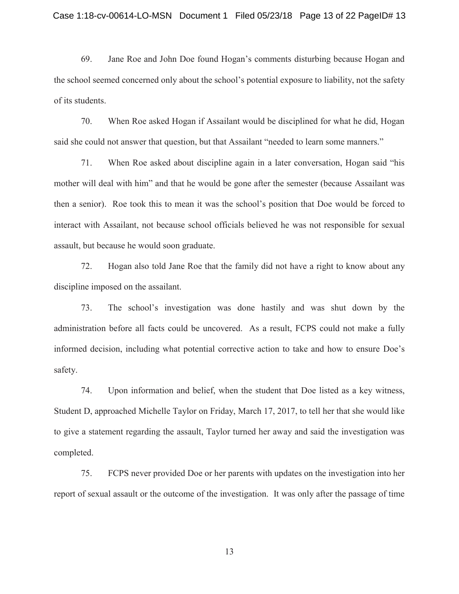69. Jane Roe and John Doe found Hogan's comments disturbing because Hogan and the school seemed concerned only about the school's potential exposure to liability, not the safety of its students.

70. When Roe asked Hogan if Assailant would be disciplined for what he did, Hogan said she could not answer that question, but that Assailant "needed to learn some manners."

71. When Roe asked about discipline again in a later conversation, Hogan said "his mother will deal with him" and that he would be gone after the semester (because Assailant was then a senior). Roe took this to mean it was the school's position that Doe would be forced to interact with Assailant, not because school officials believed he was not responsible for sexual assault, but because he would soon graduate.

72. Hogan also told Jane Roe that the family did not have a right to know about any discipline imposed on the assailant.

73. The school's investigation was done hastily and was shut down by the administration before all facts could be uncovered. As a result, FCPS could not make a fully informed decision, including what potential corrective action to take and how to ensure Doe's safety.

74. Upon information and belief, when the student that Doe listed as a key witness, Student D, approached Michelle Taylor on Friday, March 17, 2017, to tell her that she would like to give a statement regarding the assault, Taylor turned her away and said the investigation was completed.

75. FCPS never provided Doe or her parents with updates on the investigation into her report of sexual assault or the outcome of the investigation. It was only after the passage of time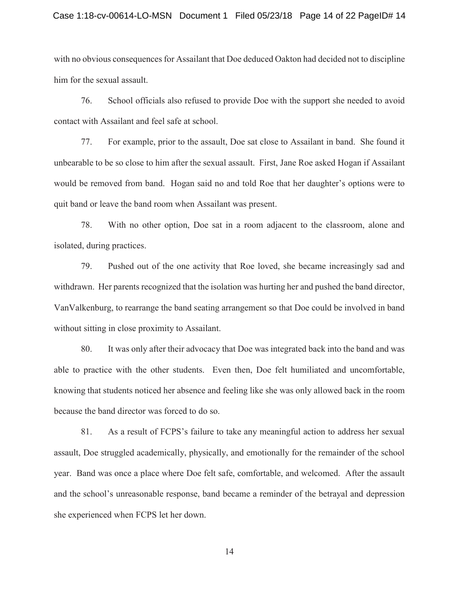#### Case 1:18-cv-00614-LO-MSN Document 1 Filed 05/23/18 Page 14 of 22 PageID# 14

with no obvious consequences for Assailant that Doe deduced Oakton had decided not to discipline him for the sexual assault.

76. School officials also refused to provide Doe with the support she needed to avoid contact with Assailant and feel safe at school.

77. For example, prior to the assault, Doe sat close to Assailant in band. She found it unbearable to be so close to him after the sexual assault. First, Jane Roe asked Hogan if Assailant would be removed from band. Hogan said no and told Roe that her daughter's options were to quit band or leave the band room when Assailant was present.

78. With no other option, Doe sat in a room adjacent to the classroom, alone and isolated, during practices.

79. Pushed out of the one activity that Roe loved, she became increasingly sad and withdrawn. Her parents recognized that the isolation was hurting her and pushed the band director, VanValkenburg, to rearrange the band seating arrangement so that Doe could be involved in band without sitting in close proximity to Assailant.

80. It was only after their advocacy that Doe was integrated back into the band and was able to practice with the other students. Even then, Doe felt humiliated and uncomfortable, knowing that students noticed her absence and feeling like she was only allowed back in the room because the band director was forced to do so.

81. As a result of FCPS's failure to take any meaningful action to address her sexual assault, Doe struggled academically, physically, and emotionally for the remainder of the school year. Band was once a place where Doe felt safe, comfortable, and welcomed. After the assault and the school's unreasonable response, band became a reminder of the betrayal and depression she experienced when FCPS let her down.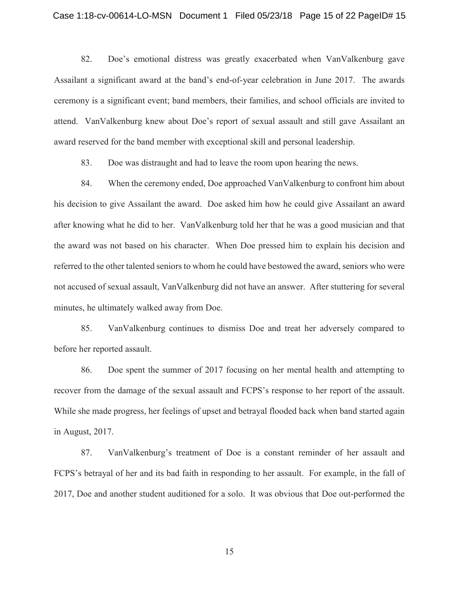#### Case 1:18-cv-00614-LO-MSN Document 1 Filed 05/23/18 Page 15 of 22 PageID# 15

82. Doe's emotional distress was greatly exacerbated when VanValkenburg gave Assailant a significant award at the band's end-of-year celebration in June 2017. The awards ceremony is a significant event; band members, their families, and school officials are invited to attend. VanValkenburg knew about Doe's report of sexual assault and still gave Assailant an award reserved for the band member with exceptional skill and personal leadership.

83. Doe was distraught and had to leave the room upon hearing the news.

84. When the ceremony ended, Doe approached VanValkenburg to confront him about his decision to give Assailant the award. Doe asked him how he could give Assailant an award after knowing what he did to her. VanValkenburg told her that he was a good musician and that the award was not based on his character. When Doe pressed him to explain his decision and referred to the other talented seniors to whom he could have bestowed the award, seniors who were not accused of sexual assault, VanValkenburg did not have an answer. After stuttering for several minutes, he ultimately walked away from Doe.

85. VanValkenburg continues to dismiss Doe and treat her adversely compared to before her reported assault.

86. Doe spent the summer of 2017 focusing on her mental health and attempting to recover from the damage of the sexual assault and FCPS's response to her report of the assault. While she made progress, her feelings of upset and betrayal flooded back when band started again in August, 2017.

87. VanValkenburg's treatment of Doe is a constant reminder of her assault and FCPS's betrayal of her and its bad faith in responding to her assault. For example, in the fall of 2017, Doe and another student auditioned for a solo. It was obvious that Doe out-performed the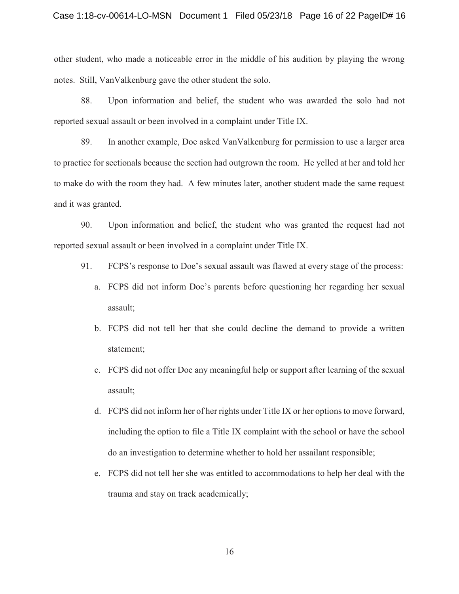other student, who made a noticeable error in the middle of his audition by playing the wrong notes. Still, VanValkenburg gave the other student the solo.

88. Upon information and belief, the student who was awarded the solo had not reported sexual assault or been involved in a complaint under Title IX.

89. In another example, Doe asked VanValkenburg for permission to use a larger area to practice for sectionals because the section had outgrown the room. He yelled at her and told her to make do with the room they had. A few minutes later, another student made the same request and it was granted.

90. Upon information and belief, the student who was granted the request had not reported sexual assault or been involved in a complaint under Title IX.

- 91. FCPS's response to Doe's sexual assault was flawed at every stage of the process:
	- a. FCPS did not inform Doe's parents before questioning her regarding her sexual assault;
	- b. FCPS did not tell her that she could decline the demand to provide a written statement;
	- c. FCPS did not offer Doe any meaningful help or support after learning of the sexual assault;
	- d. FCPS did not inform her of her rights under Title IX or her options to move forward, including the option to file a Title IX complaint with the school or have the school do an investigation to determine whether to hold her assailant responsible;
	- e. FCPS did not tell her she was entitled to accommodations to help her deal with the trauma and stay on track academically;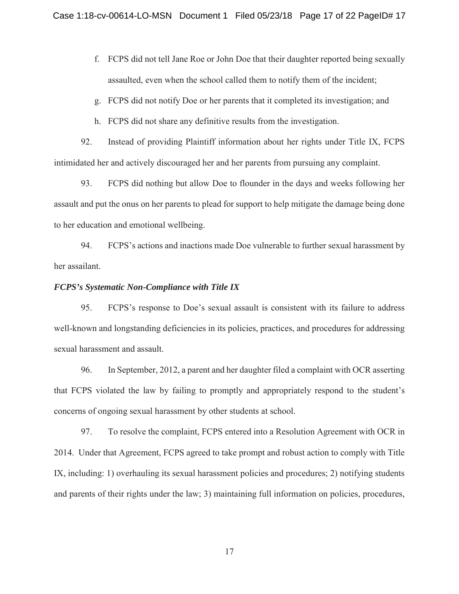- f. FCPS did not tell Jane Roe or John Doe that their daughter reported being sexually assaulted, even when the school called them to notify them of the incident;
- g. FCPS did not notify Doe or her parents that it completed its investigation; and
- h. FCPS did not share any definitive results from the investigation.

92. Instead of providing Plaintiff information about her rights under Title IX, FCPS intimidated her and actively discouraged her and her parents from pursuing any complaint.

93. FCPS did nothing but allow Doe to flounder in the days and weeks following her assault and put the onus on her parents to plead for support to help mitigate the damage being done to her education and emotional wellbeing.

94. FCPS's actions and inactions made Doe vulnerable to further sexual harassment by her assailant.

# *FCPS's Systematic Non-Compliance with Title IX*

95. FCPS's response to Doe's sexual assault is consistent with its failure to address well-known and longstanding deficiencies in its policies, practices, and procedures for addressing sexual harassment and assault.

96. In September, 2012, a parent and her daughter filed a complaint with OCR asserting that FCPS violated the law by failing to promptly and appropriately respond to the student's concerns of ongoing sexual harassment by other students at school.

97. To resolve the complaint, FCPS entered into a Resolution Agreement with OCR in 2014. Under that Agreement, FCPS agreed to take prompt and robust action to comply with Title IX, including: 1) overhauling its sexual harassment policies and procedures; 2) notifying students and parents of their rights under the law; 3) maintaining full information on policies, procedures,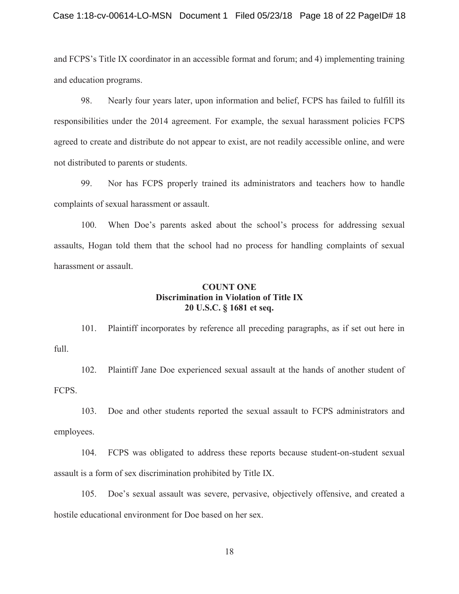#### Case 1:18-cv-00614-LO-MSN Document 1 Filed 05/23/18 Page 18 of 22 PageID# 18

and FCPS's Title IX coordinator in an accessible format and forum; and 4) implementing training and education programs.

98. Nearly four years later, upon information and belief, FCPS has failed to fulfill its responsibilities under the 2014 agreement. For example, the sexual harassment policies FCPS agreed to create and distribute do not appear to exist, are not readily accessible online, and were not distributed to parents or students.

99. Nor has FCPS properly trained its administrators and teachers how to handle complaints of sexual harassment or assault.

100. When Doe's parents asked about the school's process for addressing sexual assaults, Hogan told them that the school had no process for handling complaints of sexual harassment or assault.

# **COUNT ONE Discrimination in Violation of Title IX 20 U.S.C. § 1681 et seq.**

101. Plaintiff incorporates by reference all preceding paragraphs, as if set out here in full.

102. Plaintiff Jane Doe experienced sexual assault at the hands of another student of FCPS.

103. Doe and other students reported the sexual assault to FCPS administrators and employees.

104. FCPS was obligated to address these reports because student-on-student sexual assault is a form of sex discrimination prohibited by Title IX.

105. Doe's sexual assault was severe, pervasive, objectively offensive, and created a hostile educational environment for Doe based on her sex.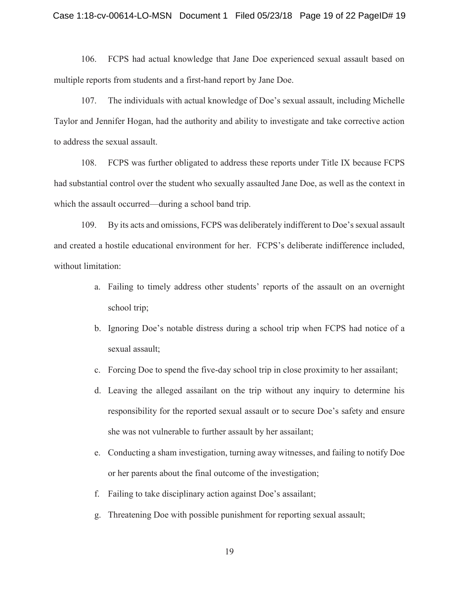#### Case 1:18-cv-00614-LO-MSN Document 1 Filed 05/23/18 Page 19 of 22 PageID# 19

106. FCPS had actual knowledge that Jane Doe experienced sexual assault based on multiple reports from students and a first-hand report by Jane Doe.

107. The individuals with actual knowledge of Doe's sexual assault, including Michelle Taylor and Jennifer Hogan, had the authority and ability to investigate and take corrective action to address the sexual assault.

108. FCPS was further obligated to address these reports under Title IX because FCPS had substantial control over the student who sexually assaulted Jane Doe, as well as the context in which the assault occurred—during a school band trip.

109. By its acts and omissions, FCPS was deliberately indifferent to Doe's sexual assault and created a hostile educational environment for her. FCPS's deliberate indifference included, without limitation:

- a. Failing to timely address other students' reports of the assault on an overnight school trip;
- b. Ignoring Doe's notable distress during a school trip when FCPS had notice of a sexual assault;
- c. Forcing Doe to spend the five-day school trip in close proximity to her assailant;
- d. Leaving the alleged assailant on the trip without any inquiry to determine his responsibility for the reported sexual assault or to secure Doe's safety and ensure she was not vulnerable to further assault by her assailant;
- e. Conducting a sham investigation, turning away witnesses, and failing to notify Doe or her parents about the final outcome of the investigation;
- f. Failing to take disciplinary action against Doe's assailant;
- g. Threatening Doe with possible punishment for reporting sexual assault;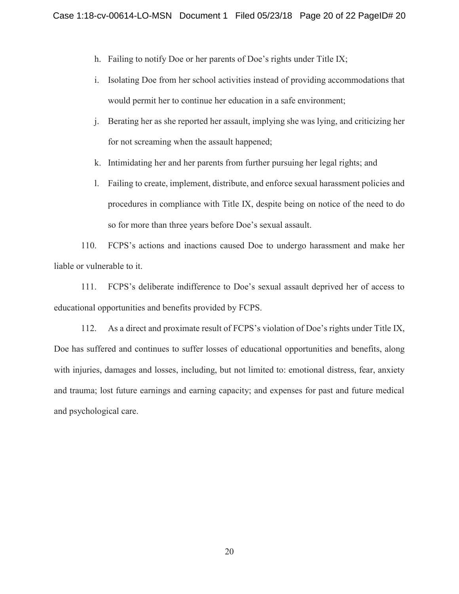- h. Failing to notify Doe or her parents of Doe's rights under Title IX;
- i. Isolating Doe from her school activities instead of providing accommodations that would permit her to continue her education in a safe environment;
- j. Berating her as she reported her assault, implying she was lying, and criticizing her for not screaming when the assault happened;
- k. Intimidating her and her parents from further pursuing her legal rights; and
- l. Failing to create, implement, distribute, and enforce sexual harassment policies and procedures in compliance with Title IX, despite being on notice of the need to do so for more than three years before Doe's sexual assault.

110. FCPS's actions and inactions caused Doe to undergo harassment and make her liable or vulnerable to it.

111. FCPS's deliberate indifference to Doe's sexual assault deprived her of access to educational opportunities and benefits provided by FCPS.

112. As a direct and proximate result of FCPS's violation of Doe's rights under Title IX, Doe has suffered and continues to suffer losses of educational opportunities and benefits, along with injuries, damages and losses, including, but not limited to: emotional distress, fear, anxiety and trauma; lost future earnings and earning capacity; and expenses for past and future medical and psychological care.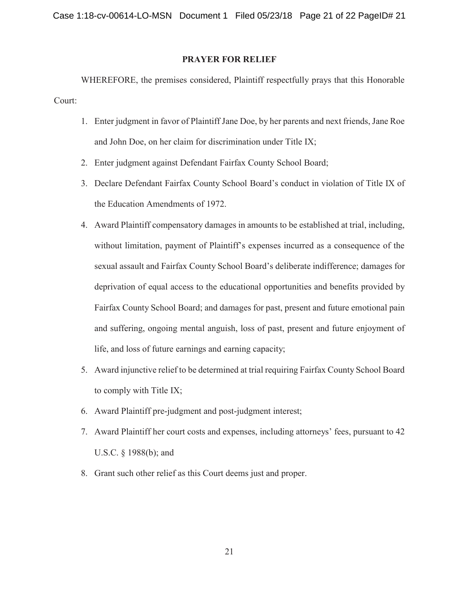# **PRAYER FOR RELIEF**

WHEREFORE, the premises considered, Plaintiff respectfully prays that this Honorable Court:

- 1. Enter judgment in favor of Plaintiff Jane Doe, by her parents and next friends, Jane Roe and John Doe, on her claim for discrimination under Title IX;
- 2. Enter judgment against Defendant Fairfax County School Board;
- 3. Declare Defendant Fairfax County School Board's conduct in violation of Title IX of the Education Amendments of 1972.
- 4. Award Plaintiff compensatory damages in amounts to be established at trial, including, without limitation, payment of Plaintiff's expenses incurred as a consequence of the sexual assault and Fairfax County School Board's deliberate indifference; damages for deprivation of equal access to the educational opportunities and benefits provided by Fairfax County School Board; and damages for past, present and future emotional pain and suffering, ongoing mental anguish, loss of past, present and future enjoyment of life, and loss of future earnings and earning capacity;
- 5. Award injunctive relief to be determined at trial requiring Fairfax County School Board to comply with Title IX;
- 6. Award Plaintiff pre-judgment and post-judgment interest;
- 7. Award Plaintiff her court costs and expenses, including attorneys' fees, pursuant to 42 U.S.C. § 1988(b); and
- 8. Grant such other relief as this Court deems just and proper.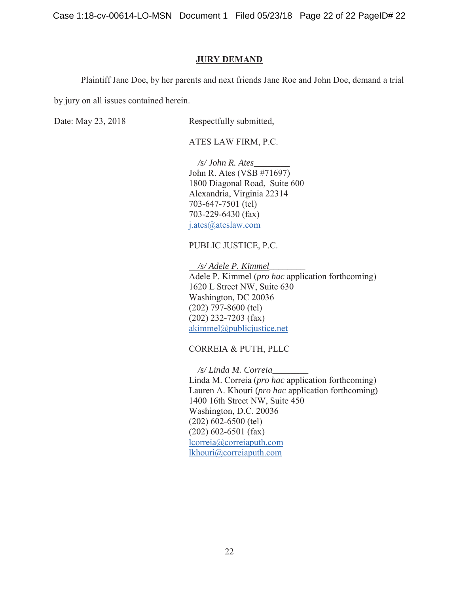Case 1:18-cv-00614-LO-MSN Document 1 Filed 05/23/18 Page 22 of 22 PageID# 22

## **JURY DEMAND**

Plaintiff Jane Doe, by her parents and next friends Jane Roe and John Doe, demand a trial

by jury on all issues contained herein.

Date: May 23, 2018 Respectfully submitted,

ATES LAW FIRM, P.C.

 */s/ John R. Ates\_\_\_\_\_\_\_\_*  John R. Ates (VSB #71697) 1800 Diagonal Road, Suite 600 Alexandria, Virginia 22314 703-647-7501 (tel) 703-229-6430 (fax) j.ates@ateslaw.com

PUBLIC JUSTICE, P.C.

 */s/ Adele P. Kimmel\_\_\_\_\_\_\_\_*  Adele P. Kimmel (*pro hac* application forthcoming) 1620 L Street NW, Suite 630 Washington, DC 20036 (202) 797-8600 (tel) (202) 232-7203 (fax) akimmel@publicjustice.net

CORREIA & PUTH, PLLC

 */s/ Linda M. Correia\_\_\_\_\_\_\_\_* 

Linda M. Correia (*pro hac* application forthcoming) Lauren A. Khouri (*pro hac* application forthcoming) 1400 16th Street NW, Suite 450 Washington, D.C. 20036 (202) 602-6500 (tel) (202) 602-6501 (fax) lcorreia@correiaputh.com lkhouri@correiaputh.com